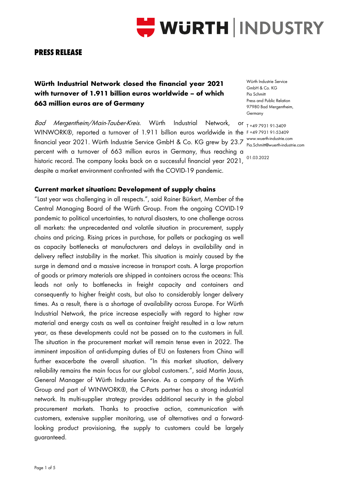

# **PRESS RELEASE**

# **Würth Industrial Network closed the financial year 2021 with turnover of 1.911 billion euros worldwide – of which 663 million euros are of Germany**

Bad Mergentheim/Main-Tauber-Kreis. Würth Industrial Network, WINWORK®, reported a turnover of 1.911 billion euros worldwide in the F+49793191-53409 financial year 2021. Würth Industrie Service GmbH & Co. KG grew by 23.7 percent with a turnover of 663 million euros in Germany, thus reaching a historic record. The company looks back on a successful financial year 2021,  $^{\circ1.03.2022}$ despite a market environment confronted with the COVID-19 pandemic.

**Current market situation: Development of supply chains**

"Last year was challenging in all respects.", said Rainer Bürkert, Member of the Central Managing Board of the Würth Group. From the ongoing COVID-19 pandemic to political uncertainties, to natural disasters, to one challenge across all markets: the unprecedented and volatile situation in procurement, supply chains and pricing. Rising prices in purchase, for pallets or packaging as well as capacity bottlenecks at manufacturers and delays in availability and in delivery reflect instability in the market. This situation is mainly caused by the surge in demand and a massive increase in transport costs. A large proportion of goods or primary materials are shipped in containers across the oceans: This leads not only to bottlenecks in freight capacity and containers and consequently to higher freight costs, but also to considerably longer delivery times. As a result, there is a shortage of availability across Europe. For Würth Industrial Network, the price increase especially with regard to higher raw material and energy costs as well as container freight resulted in a low return year, as these developments could not be passed on to the customers in full. The situation in the procurement market will remain tense even in 2022. The imminent imposition of anti-dumping duties of EU on fasteners from China will further exacerbate the overall situation. "In this market situation, delivery reliability remains the main focus for our global customers.", said Martin Jauss, General Manager of Würth Industrie Service. As a company of the Würth Group and part of WINWORK®, the C-Parts partner has a strong industrial network. Its multi-supplier strategy provides additional security in the global procurement markets. Thanks to proactive action, communication with customers, extensive supplier monitoring, use of alternatives and a forwardlooking product provisioning, the supply to customers could be largely guaranteed.

Würth Industrie Service GmbH & Co. KG Pia Schmitt Press and Public Relation 97980 Bad Mergentheim, Germany

OF T+49 7931 91-3409 www.wuerth-industrie.com Pia.Schmitt@wuerth-industrie.com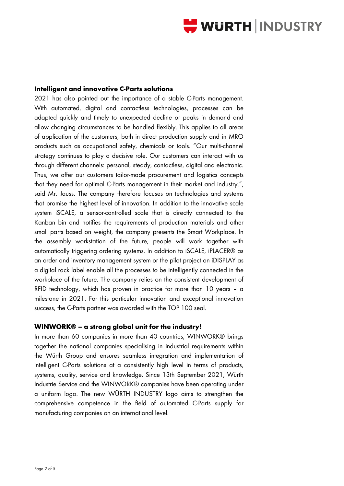

#### **Intelligent and innovative C-Parts solutions**

2021 has also pointed out the importance of a stable C-Parts management. With automated, digital and contactless technologies, processes can be adapted quickly and timely to unexpected decline or peaks in demand and allow changing circumstances to be handled flexibly. This applies to all areas of application of the customers, both in direct production supply and in MRO products such as occupational safety, chemicals or tools. "Our multi-channel strategy continues to play a decisive role. Our customers can interact with us through different channels: personal, steady, contactless, digital and electronic. Thus, we offer our customers tailor-made procurement and logistics concepts that they need for optimal C-Parts management in their market and industry.", said Mr. Jauss. The company therefore focuses on technologies and systems that promise the highest level of innovation. In addition to the innovative scale system iSCALE, a sensor-controlled scale that is directly connected to the Kanban bin and notifies the requirements of production materials and other small parts based on weight, the company presents the Smart Workplace. In the assembly workstation of the future, people will work together with automatically triggering ordering systems. In addition to iSCALE, iPLACER® as an order and inventory management system or the pilot project on iDISPLAY as a digital rack label enable all the processes to be intelligently connected in the workplace of the future. The company relies on the consistent development of RFID technology, which has proven in practice for more than 10 years – a milestone in 2021. For this particular innovation and exceptional innovation success, the C-Parts partner was awarded with the TOP 100 seal.

#### **WINWORK® – a strong global unit for the industry!**

In more than 60 companies in more than 40 countries, WINWORK® brings together the national companies specialising in industrial requirements within the Würth Group and ensures seamless integration and implementation of intelligent C-Parts solutions at a consistently high level in terms of products, systems, quality, service and knowledge. Since 13th September 2021, Würth Industrie Service and the WINWORK® companies have been operating under a uniform logo. The new WÜRTH INDUSTRY logo aims to strengthen the comprehensive competence in the field of automated C-Parts supply for manufacturing companies on an international level.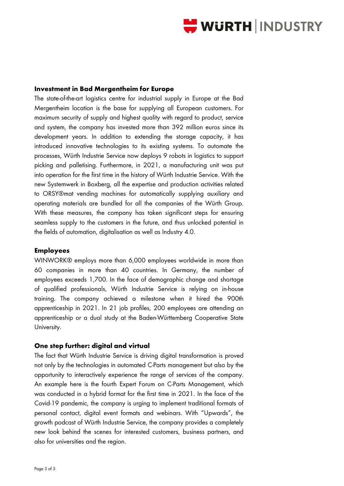

#### **Investment in Bad Mergentheim for Europe**

The state-of-the-art logistics centre for industrial supply in Europe at the Bad Mergentheim location is the base for supplying all European customers. For maximum security of supply and highest quality with regard to product, service and system, the company has invested more than 392 million euros since its development years. In addition to extending the storage capacity, it has introduced innovative technologies to its existing systems. To automate the processes, Würth Industrie Service now deploys 9 robots in logistics to support picking and palletising. Furthermore, in 2021, a manufacturing unit was put into operation for the first time in the history of Würth Industrie Service. With the new Systemwerk in Boxberg, all the expertise and production activities related to ORSY®mat vending machines for automatically supplying auxiliary and operating materials are bundled for all the companies of the Würth Group. With these measures, the company has taken significant steps for ensuring seamless supply to the customers in the future, and thus unlocked potential in the fields of automation, digitalisation as well as Industry 4.0.

### **Employees**

WINWORK® employs more than 6,000 employees worldwide in more than 60 companies in more than 40 countries. In Germany, the number of employees exceeds 1,700. In the face of demographic change and shortage of qualified professionals, Würth Industrie Service is relying on in-house training. The company achieved a milestone when it hired the 900th apprenticeship in 2021. In 21 job profiles, 200 employees are attending an apprenticeship or a dual study at the Baden-Württemberg Cooperative State University.

#### **One step further: digital and virtual**

The fact that Würth Industrie Service is driving digital transformation is proved not only by the technologies in automated C-Parts management but also by the opportunity to interactively experience the range of services of the company. An example here is the fourth Expert Forum on C-Parts Management, which was conducted in a hybrid format for the first time in 2021. In the face of the Covid-19 pandemic, the company is urging to implement traditional formats of personal contact, digital event formats and webinars. With "Upwards", the growth podcast of Würth Industrie Service, the company provides a completely new look behind the scenes for interested customers, business partners, and also for universities and the region.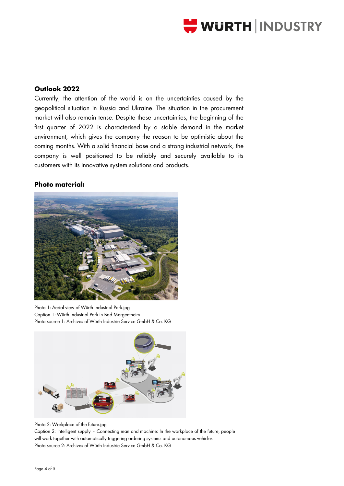

## **Outlook 2022**

Currently, the attention of the world is on the uncertainties caused by the geopolitical situation in Russia and Ukraine. The situation in the procurement market will also remain tense. Despite these uncertainties, the beginning of the first quarter of 2022 is characterised by a stable demand in the market environment, which gives the company the reason to be optimistic about the coming months. With a solid financial base and a strong industrial network, the company is well positioned to be reliably and securely available to its customers with its innovative system solutions and products.

#### **Photo material:**



Photo 1: Aerial view of Würth Industrial Park.jpg Caption 1: Würth Industrial Park in Bad Mergentheim Photo source 1: Archives of Würth Industrie Service GmbH & Co. KG



Photo 2: Workplace of the future.jpg

Caption 2: Intelligent supply – Connecting man and machine: In the workplace of the future, people will work together with automatically triggering ordering systems and autonomous vehicles. Photo source 2: Archives of Würth Industrie Service GmbH & Co. KG